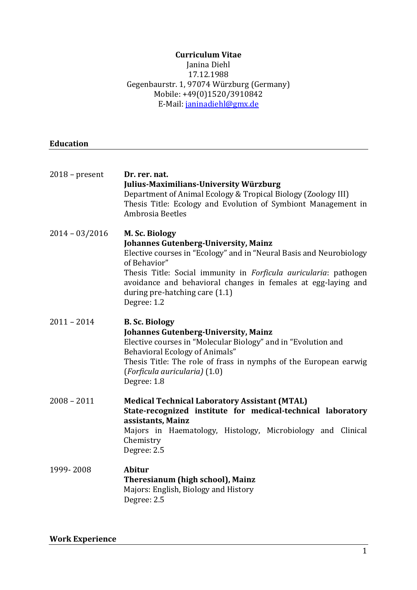## **Curriculum Vitae**

#### Janina Diehl 17.12.1988 Gegenbaurstr. 1, 97074 Würzburg (Germany) Mobile: +49(0)1520/3910842 E-Mail[: janinadiehl@gmx.de](mailto:janinadiehl@gmx.de)

### **Education**

| $2018$ – present | Dr. rer. nat.<br><b>Julius-Maximilians-University Würzburg</b><br>Department of Animal Ecology & Tropical Biology (Zoology III)<br>Thesis Title: Ecology and Evolution of Symbiont Management in<br>Ambrosia Beetles                                                                                                                       |
|------------------|--------------------------------------------------------------------------------------------------------------------------------------------------------------------------------------------------------------------------------------------------------------------------------------------------------------------------------------------|
| $2014 - 03/2016$ | M. Sc. Biology<br><b>Johannes Gutenberg-University, Mainz</b><br>Elective courses in "Ecology" and in "Neural Basis and Neurobiology<br>of Behavior"<br>Thesis Title: Social immunity in Forficula auricularia: pathogen<br>avoidance and behavioral changes in females at egg-laying and<br>during pre-hatching care (1.1)<br>Degree: 1.2 |
| $2011 - 2014$    | <b>B. Sc. Biology</b><br><b>Johannes Gutenberg-University, Mainz</b><br>Elective courses in "Molecular Biology" and in "Evolution and<br><b>Behavioral Ecology of Animals"</b><br>Thesis Title: The role of frass in nymphs of the European earwig<br>(Forficula auricularia) (1.0)<br>Degree: 1.8                                         |
| $2008 - 2011$    | <b>Medical Technical Laboratory Assistant (MTAL)</b><br>State-recognized institute for medical-technical laboratory<br>assistants, Mainz<br>Majors in Haematology, Histology, Microbiology and Clinical<br>Chemistry<br>Degree: 2.5                                                                                                        |
| 1999-2008        | <b>Abitur</b><br>Theresianum (high school), Mainz<br>Majors: English, Biology and History<br>Degree: 2.5                                                                                                                                                                                                                                   |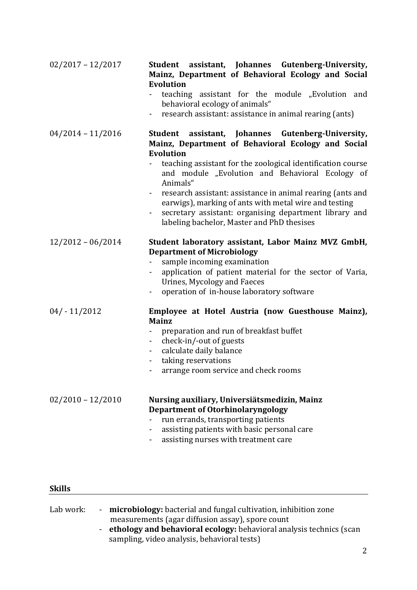| $02/2017 - 12/2017$ | Student assistant, Johannes Gutenberg-University,<br>Mainz, Department of Behavioral Ecology and Social<br><b>Evolution</b><br>teaching assistant for the module "Evolution and<br>behavioral ecology of animals"<br>research assistant: assistance in animal rearing (ants)<br>$\blacksquare$                                                                                                                                                                                                                                  |
|---------------------|---------------------------------------------------------------------------------------------------------------------------------------------------------------------------------------------------------------------------------------------------------------------------------------------------------------------------------------------------------------------------------------------------------------------------------------------------------------------------------------------------------------------------------|
| $04/2014 - 11/2016$ | assistant, Johannes Gutenberg-University,<br>Student<br>Mainz, Department of Behavioral Ecology and Social<br><b>Evolution</b><br>teaching assistant for the zoological identification course<br>and module "Evolution and Behavioral Ecology of<br>Animals"<br>research assistant: assistance in animal rearing (ants and<br>$\blacksquare$<br>earwigs), marking of ants with metal wire and testing<br>secretary assistant: organising department library and<br>$\blacksquare$<br>labeling bachelor, Master and PhD thesises |
| $12/2012 - 06/2014$ | Student laboratory assistant, Labor Mainz MVZ GmbH,<br><b>Department of Microbiology</b><br>sample incoming examination<br>application of patient material for the sector of Varia,<br>Urines, Mycology and Faeces<br>operation of in-house laboratory software                                                                                                                                                                                                                                                                 |
| $04/-11/2012$       | Employee at Hotel Austria (now Guesthouse Mainz),<br><b>Mainz</b><br>preparation and run of breakfast buffet<br>check-in/-out of guests<br>$\sim$<br>calculate daily balance<br>taking reservations<br>$\blacksquare$<br>arrange room service and check rooms                                                                                                                                                                                                                                                                   |
| $02/2010 - 12/2010$ | Nursing auxiliary, Universiätsmedizin, Mainz<br><b>Department of Otorhinolaryngology</b><br>run errands, transporting patients<br>assisting patients with basic personal care<br>$\blacksquare$<br>assisting nurses with treatment care                                                                                                                                                                                                                                                                                         |

### **Skills**

| Lab work: | microbiology: bacterial and fungal cultivation, inhibition zone |  |
|-----------|-----------------------------------------------------------------|--|
|           | measurements (agar diffusion assay), spore count                |  |
|           |                                                                 |  |

- **ethology and behavioral ecology:** behavioral analysis technics (scan sampling, video analysis, behavioral tests)